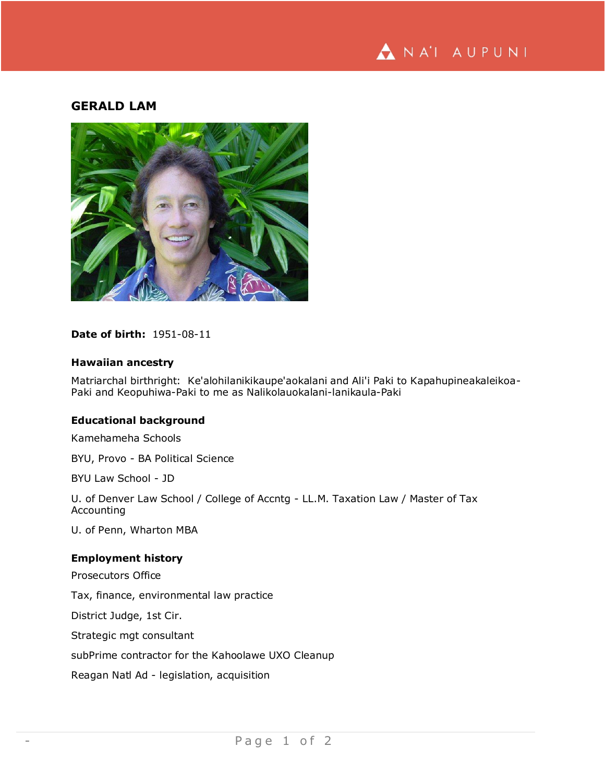

# **GERALD LAM**



# **Date of birth:** 1951-08-11

# **Hawaiian ancestry**

Matriarchal birthright: Ke'alohilanikikaupe'aokalani and Ali'i Paki to Kapahupineakaleikoa-Paki and Keopuhiwa-Paki to me as Nalikolauokalani-lanikaula-Paki

# **Educational background**

Kamehameha Schools

BYU, Provo - BA Political Science

BYU Law School - JD

U. of Denver Law School / College of Accntg - LL.M. Taxation Law / Master of Tax Accounting

U. of Penn, Wharton MBA

#### **Employment history**

Prosecutors Office

Tax, finance, environmental law practice

District Judge, 1st Cir.

Strategic mgt consultant

subPrime contractor for the Kahoolawe UXO Cleanup

Reagan Natl Ad - legislation, acquisition